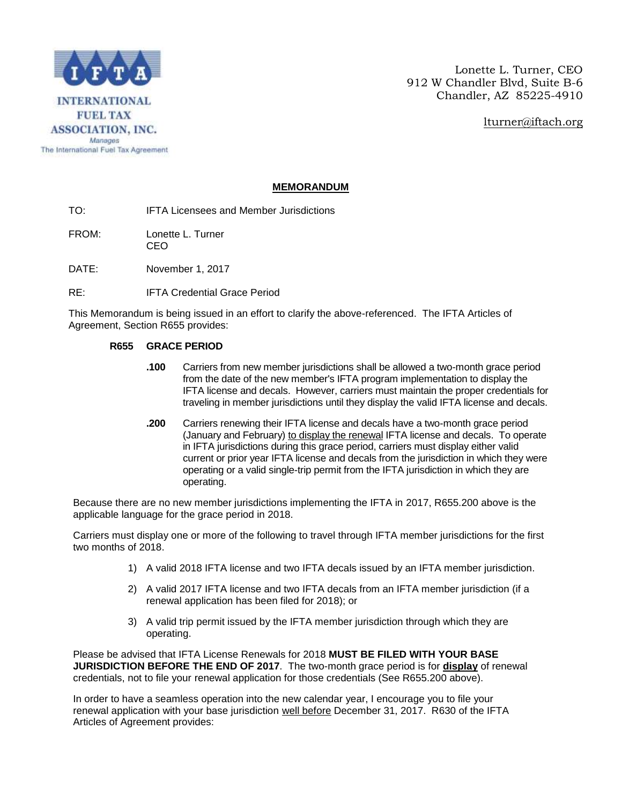

Lonette L. Turner, CEO 912 W Chandler Blvd, Suite B-6 Chandler, AZ 85225-4910

[lturner@iftach.org](mailto:lturner@iftach.org)

## **MEMORANDUM**

TO: IFTA Licensees and Member Jurisdictions

FROM: Lonette L. Turner CEO

DATE: November 1, 2017

RE: IFTA Credential Grace Period

This Memorandum is being issued in an effort to clarify the above-referenced. The IFTA Articles of Agreement, Section R655 provides:

## **R655 GRACE PERIOD**

- **.100** Carriers from new member jurisdictions shall be allowed a two-month grace period from the date of the new member's IFTA program implementation to display the IFTA license and decals. However, carriers must maintain the proper credentials for traveling in member jurisdictions until they display the valid IFTA license and decals.
- **.200** Carriers renewing their IFTA license and decals have a two-month grace period (January and February) to display the renewal IFTA license and decals. To operate in IFTA jurisdictions during this grace period, carriers must display either valid current or prior year IFTA license and decals from the jurisdiction in which they were operating or a valid single-trip permit from the IFTA jurisdiction in which they are operating.

Because there are no new member jurisdictions implementing the IFTA in 2017, R655.200 above is the applicable language for the grace period in 2018.

Carriers must display one or more of the following to travel through IFTA member jurisdictions for the first two months of 2018.

- 1) A valid 2018 IFTA license and two IFTA decals issued by an IFTA member jurisdiction.
- 2) A valid 2017 IFTA license and two IFTA decals from an IFTA member jurisdiction (if a renewal application has been filed for 2018); or
- 3) A valid trip permit issued by the IFTA member jurisdiction through which they are operating.

Please be advised that IFTA License Renewals for 2018 **MUST BE FILED WITH YOUR BASE JURISDICTION BEFORE THE END OF 2017**. The two-month grace period is for **display** of renewal credentials, not to file your renewal application for those credentials (See R655.200 above).

In order to have a seamless operation into the new calendar year, I encourage you to file your renewal application with your base jurisdiction well before December 31, 2017. R630 of the IFTA Articles of Agreement provides: